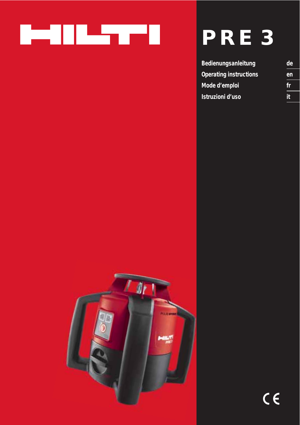

# **PRE 3**

| <b>Bedienungsanleitung</b>    | de |
|-------------------------------|----|
| <b>Operating instructions</b> | en |
| Mode d'emploi                 | 17 |
| Istruzioni d'uso              | it |

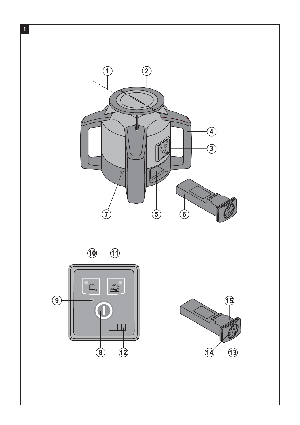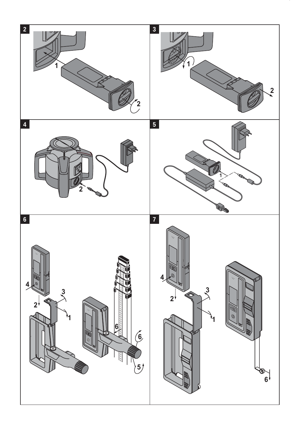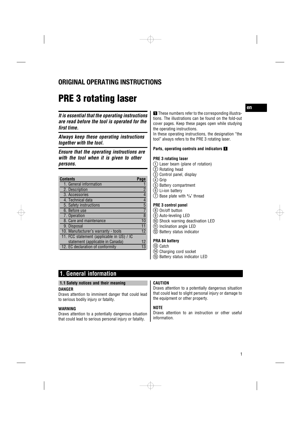## **ORIGINAL OPERATING INSTRUCTIONS**

## **PRE 3 rotating laser**

*It is essential that the operating instructions are read before the tool is operated for the first time.*

*Always keep these operating instructions together with the tool.*

*Ensure that the operating instructions are with the tool when it is given to other persons.*

| <b>Contents</b>                           | Page                     |
|-------------------------------------------|--------------------------|
| 1. General information                    |                          |
| 2. Description                            | $\overline{2}$           |
| 3. Accessories                            | $\overline{\mathcal{A}}$ |
| 4. Technical data                         | $\overline{4}$           |
| 5. Safety instructions                    | 5                        |
| 6. Before use                             | $\overline{7}$           |
| 7. Operation                              | 8                        |
| 8. Care and maintenance                   | 10                       |
| 9. Disposal                               |                          |
| 10. Manufacturer's warranty - tools       | 12                       |
| 11. FCC statement (applicable in US) / IC |                          |
| statement (applicable in Canada)          | 12                       |
| 12. EC declaration of conformity          |                          |

**1** These numbers refer to the corresponding illustrations. The illustrations can be found on the fold-out cover pages. Keep these pages open while studying the operating instructions.

In these operating instructions, the designation "the tool" always refers to the PRE 3 rotating laser.

#### **Parts, operating controls and indicators**

#### **PRE 3 rotating laser**

- @ Laser beam (plane of rotation)
- (2) Rotating head
- $\circled{3}$  Control panel, display
- $\overline{4}$  Grip
- & Battery compartment
- ( Li‑ion battery
- $\overline{O}$  Base plate with  $5\frac{1}{8}$ " thread

#### **PRE 3 control panel**

- (8) On/off button
- § Auto-leveling LED
- / Shock warning deactivation LED
- : Inclination angle LED · Battery status indicator
- 

## **PRA 84 battery**

- (13) Catch
- £ Charging cord socket
- | Battery status indicator LED

## **1. General information**

#### **1.1 Safety notices and their meaning**

#### **DANGER**

Draws attention to imminent danger that could lead to serious bodily injury or fatality.

#### **WARNING**

Draws attention to a potentially dangerous situation that could lead to serious personal injury or fatality.

#### **CAUTION**

Draws attention to a potentially dangerous situation that could lead to slight personal injury or damage to the equipment or other property.

#### **NOTE**

Draws attention to an instruction or other useful information.

1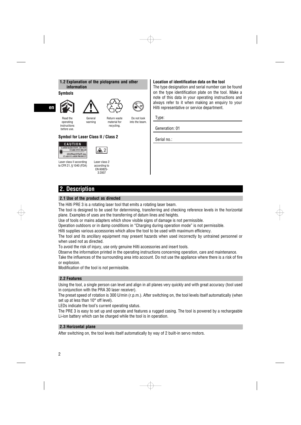

#### **Symbols**

Read the operating instructions before use.

## **en**



Return waste Do not look

>1/4s

material for recycling. into the beam.

#### **Symbol for Laser Class II / Class 2**



Laser class II according to CFR 21, § 1040 (FDA) Laser class 2 according to EN 60825- 3:2007

 $\sqrt{2}$ 

#### **Location of identification data on the tool**

The type designation and serial number can be found on the type identification plate on the tool. Make a note of this data in your operating instructions and always refer to it when making an enquiry to your Hilti representative or service department.

Type:

Generation: 01

Serial no.:

## **2. Description**

#### **2.1 Use of the product as directed**

The Hilti PRE 3 is a rotating laser tool that emits a rotating laser beam.

The tool is designed to be used for determining, transferring and checking reference levels in the horizontal plane. Examples of uses are the transferring of datum lines and heights.

Use of tools or mains adapters which show visible signs of damage is not permissible.

Operation outdoors or in damp conditions in "Charging during operation mode" is not permissible.

Hilti supplies various accessories which allow the tool to be used with maximum efficiency.

The tool and its ancillary equipment may present hazards when used incorrectly by untrained personnel or when used not as directed.

To avoid the risk of injury, use only genuine Hilti accessories and insert tools.

Observe the information printed in the operating instructions concerning operation, care and maintenance. Take the influences of the surrounding area into account. Do not use the appliance where there is a risk of fire or explosion.

Modification of the tool is not permissible.

#### **2.2 Features**

Using the tool, a single person can level and align in all planes very quickly and with great accuracy (tool used in conjunction with the PRA 30 laser receiver).

The preset speed of rotation is 300 U/min (r.p.m.). After switching on, the tool levels itself automatically (when set up at less than 10° off level).

LEDs indicate the tool's current operating status.

The PRE 3 is easy to set up and operate and features a rugged casing. The tool is powered by a rechargeable Li-ion battery which can be charged while the tool is in operation.

#### **2.3 Horizontal plane**

After switching on, the tool levels itself automatically by way of 2 built-in servo motors.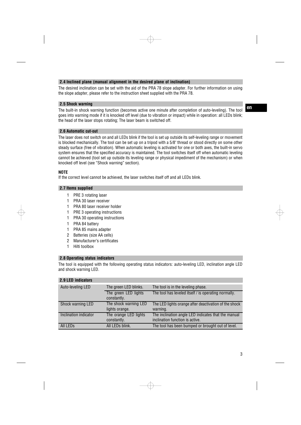#### **2.4 Inclined plane (manual alignment in the desired plane of inclination)**

The desired inclination can be set with the aid of the PRA 78 slope adapter. For further information on using the slope adapter, please refer to the instruction sheet supplied with the PRA 78.

#### **2.5 Shock warning**

The built-in shock warning function (becomes active one minute after completion of auto-leveling). The tool goes into warning mode if it is knocked off level (due to vibration or impact) while in operation: all LEDs blink; the head of the laser stops rotating; The laser beam is switched off.

**en**

#### **2.6 Automatic cut-out**

The laser does not switch on and all LEDs blink if the tool is set up outside its self-leveling range or movement is blocked mechanically. The tool can be set up on a tripod with a 5/8" thread or stood directly on some other steady surface (free of vibration). When automatic leveling is activated for one or both axes, the built-in servo system ensures that the specified accuracy is maintained. The tool switches itself off when automatic leveling cannot be achieved (tool set up outside its leveling range or physical impediment of the mechanism) or when knocked off level (see "Shock warning" section).

#### **NOTE**

If the correct level cannot be achieved, the laser switches itself off and all LEDs blink.

#### **2.7 Items supplied**

- 1 PRE 3 rotating laser
- 1 PRA 30 laser receiver
- 1 PRA 80 laser receiver holder
- 1 PRE 3 operating instructions
- 1 PRA 30 operating instructions
- 1 PRA 84 battery
- 1 PRA 85 mains adapter
- 2 Batteries (size AA cells)
- 2 Manufacturer's certificates
- 1 Hilti toolbox

#### **2.8 Operating status indicators**

The tool is equipped with the following operating status indicators: auto-leveling LED, inclination angle LED and shock warning LED.

| 2.9 LED indicators    |                                         |                                                                                        |
|-----------------------|-----------------------------------------|----------------------------------------------------------------------------------------|
| Auto-leveling LED     | The green LED blinks.                   | The tool is in the leveling phase.                                                     |
|                       | The green LED lights<br>constantly.     | The tool has leveled itself / is operating normally.                                   |
| Shock warning LED     | The shock warning LED<br>lights orange. | The LED lights orange after deactivation of the shock<br>warning.                      |
| Inclination indicator | The orange LED lights<br>constantly.    | The inclination angle LED indicates that the manual<br>inclination function is active. |
| All LED <sub>s</sub>  | All LEDs blink.                         | The tool has been bumped or brought out of level.                                      |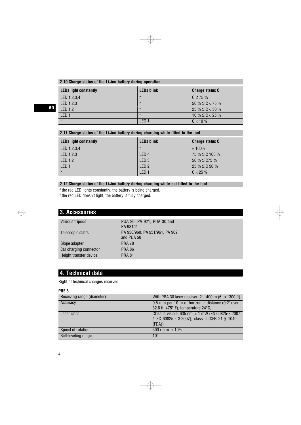## **2.10 Charge status of the Li**‑**ion battery during operation**

| <b>LEDs light constantly</b> | <b>LEDs blink</b> | <b>Charge status C</b> |
|------------------------------|-------------------|------------------------|
| LED 1.2.3.4                  |                   | $C \ge 75 \%$          |
| LED 1,2,3                    |                   | $50\% \leq C < 75\%$   |
| LED 1.2                      |                   | $25\% \leq C < 50\%$   |
| LED <sub>1</sub>             |                   | $10\% \leq C < 25\%$   |
|                              | LED <sub>1</sub>  | $C < 10 \%$            |

⊕

## **2.11 Charge status of the Li**‑**ion battery during charging while fitted to the tool**

| <b>LEDs light constantly</b> | <b>LEDs blink</b> | <b>Charge status C</b> |
|------------------------------|-------------------|------------------------|
| LED 1.2.3.4                  |                   | $= 100\%$              |
| LED 1,2,3                    | LED <sub>4</sub>  | 75 % ≦ C 100 %         |
| LED 1,2                      | LED <sub>3</sub>  | $50\% \leq C75\%$      |
| LED <sub>1</sub>             | LED <sub>2</sub>  | $25\% \leq C50\%$      |
|                              | LED <sub>1</sub>  | $C < 25 \%$            |

#### **2.12 Charge status of the Li**‑**ion battery during charging while not fitted to the tool**

If the red LED lights constantly, the battery is being charged. If the red LED doesn't light, the battery is fully charged.

| 3. Accessories         |                                              |
|------------------------|----------------------------------------------|
| Various tripods        | PUA 20, PA 921, PUA 30 and<br>PA 931/2       |
| Telescopic staffs      | PA 950/960, PA 951/961, PA 962<br>and PUA 50 |
| Slope adapter          | <b>PRA 78</b>                                |
| Car charging connector | <b>PRA 86</b>                                |
| Height transfer device | <b>PRA 81</b>                                |

## **4. Technical data**

Right of technical changes reserved.

#### **PRE 3**

**en**

| Receiving range (diameter) | With PRA 30 laser receiver: 2400 m (6 to 1300 ft) |
|----------------------------|---------------------------------------------------|
| Accuracy                   | 0.5 mm per 10 m of horizontal distance (0.2" over |
|                            | 32.8 ft, +75° F), temperature 24°C,               |
| Laser class                | Class 2, visible, 635 nm, < 1 mW (EN 60825-3:2007 |
|                            | / IEC 60825 - 3:2007); class II (CFR 21 § 1040    |
|                            | (FDA)                                             |
| Speed of rotation          | 300 r.p.m. $\pm$ 10%                              |
| Self-leveling range        | $10^{\circ}$                                      |

 $\overline{\oplus}$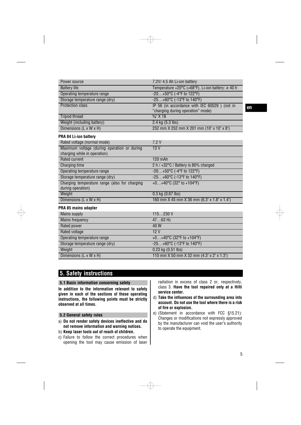| Power source                                                       | 7.2V/ 4.5 Ah Li-ion battery                       |
|--------------------------------------------------------------------|---------------------------------------------------|
| <b>Battery life</b>                                                | Temperature +20°C (+68°F), Li-ion battery: ≥ 40 h |
| Operating temperature range                                        | -20+50°C (-4°F to 122°F)                          |
| Storage temperature range (dry)                                    | -25+60°C (-13°F to 140°F)                         |
| <b>Protection class</b>                                            | IP 56 (in accordance with IEC 60529 ) (not in     |
|                                                                    | "charging during operation" mode)                 |
| <b>Tripod thread</b>                                               | $\frac{5}{8}$ X 18                                |
| Weight (including battery)                                         | 2.4 kg (5.3 lbs)                                  |
| Dimensions $(L \times W \times H)$                                 | 252 mm X 252 mm X 201 mm (10" x 10" x 8")         |
| <b>PRA 84 Li-ion battery</b>                                       |                                                   |
| Rated voltage (normal mode)                                        | 7.2V                                              |
| Maximum voltage (during operation or during                        | 13V                                               |
| charging while in operation)                                       |                                                   |
| <b>Rated current</b>                                               | 120 mAh                                           |
| Charging time                                                      | 2 h / +32°C / Battery is 80% charged              |
| Operating temperature range                                        | -20+50°C (-4°F to 122°F)                          |
| Storage temperature range (dry)                                    | -25+60°C (-13°F to 140°F)                         |
| Charging temperature range (also for charging<br>during operation) | $+0+40^{\circ}C(32^{\circ}$ to $+104^{\circ}F)$   |
| Weight                                                             | $0.3$ kg $(0.67$ lbs)                             |
| Dimensions (L x W x H)                                             | 160 mm X 45 mm X 36 mm (6.3" x 1.8" x 1.4")       |
| PRA 85 mains adapter                                               |                                                   |
| <b>Mains supply</b>                                                | 115230V                                           |
| <b>Mains frequency</b>                                             | $4763$ Hz                                         |
| Rated power                                                        | 40 W                                              |
| Rated voltage                                                      | 12V                                               |
| Operating temperature range                                        | +0+40°C (32°F to +104°F)                          |
| Storage temperature range (dry)                                    | -25+60°C (-13°F to 140°F)                         |
| Weight                                                             | $0.23$ kg $(0.51$ lbs)                            |
| Dimensions $(L \times W \times H)$                                 | 110 mm X 50 mm X 32 mm (4.3" x 2" x 1.3")         |

 $\oplus$ 

## **5. Safety instructions**

#### **5.1 Basic information concerning safety**

**In addition to the information relevant to safety given in each of the sections of these operating instructions, the following points must be strictly observed at all times.**

#### **5.2 General safety rules**

- a) **Do not render safety devices ineffective and do not remove information and warning notices.**
- b) **Keep laser tools out of reach of children.**
- c) Failure to follow the correct procedures when opening the tool may cause emission of laser

radiation in excess of class 2 or, respectively, class 3. **Have the tool repaired only at a Hilti service center.**

- d) **Take the influences of the surrounding area into account. Do not use the tool where there is a risk of fire or explosion.**
- e) (Statement in accordance with FCC §15.21): Changes or modifications not expressly approved by the manufacturer can void the user's authority to operate the equipment.

5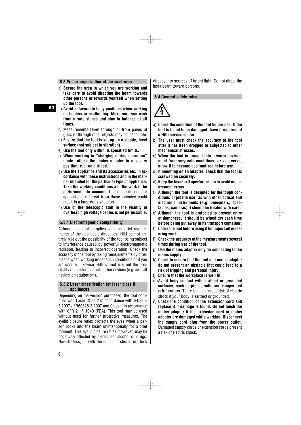#### **5.3 Proper organization of the work area**

- a) **Secure the area in which you are working and take care to avoid directing the beam towards other persons or towards yourself when setting up the tool.**
- b) **Avoid unfavorable body positions when working on ladders or scaffolding. Make sure you work from a safe stance and stay in balance at all times.**
- c) Measurements taken through or from panes of glass or through other objects may be inaccurate.
- d) **Ensure that the tool is set up on a steady, level surface (not subject to vibration).**
- e) **Use the tool only within its specified limits.**
- f) **When working in "charging during operation" mode, attach the mains adapter in a secure position, e.g. on a tripod.**
- g) **Use the appliance and its accessories etc. in accordance with these instructions and in the manner intended for the particular type of appliance. Take the working conditions and the work to be performed into account.** Use of appliances for applications different from those intended could result in a hazardous situation.
- h) **Use of the telescopic staff in the vicinity of overhead high voltage cables is not permissible.**

#### **5.3.1 Electromagnetic compatibility**

Although the tool complies with the strict requirements of the applicable directives, Hilti cannot entirely rule out the possibility of the tool being subject to interference caused by powerful electromagnetic radiation, leading to incorrect operation. Check the accuracy of the tool by taking measurements by other means when working under such conditions or if you are unsure. Likewise, Hilti cannot rule out the possibility of interference with other devices (e.g. aircraft navigation equipment).

#### **5.3.2 Laser classification for laser class II appliances**

Depending on the version purchased, the tool complies with Laser Class 2 in accordance with IEC825- 3:2007 / EN60825-3:2007 and Class II in accordance with CFR 21 § 1040 (FDA). This tool may be used without need for further protective measures. The eyelid closure reflex protects the eyes when a person looks into the beam unintentionally for a brief moment. This eyelid closure reflex, however, may be negatively affected by medicines, alcohol or drugs. Nevertheless, as with the sun, one should not look directly into sources of bright light. Do not direct the laser beam toward persons.

#### **5.4 General safety rules**



- a) **Check the condition of the tool before use. If the tool is found to be damaged, have it repaired at a Hilti service center.**
- b) **The user must check the accuracy of the tool after it has been dropped or subjected to other mechanical stresses.**
- c) **When the tool is brought into a warm environment from very cold conditions, or vice-versa, allow it to become acclimatized before use.**
- d) **If mounting on an adapter, check that the tool is screwed on securely.**
- e) **Keep the laser exit aperture clean to avoid measurement errors.**
- f) **Although the tool is designed for the tough conditions of jobsite use, as with other optical and electronic instruments (e.g. binoculars, spectacles, cameras) it should be treated with care.**
- g) **Although the tool is protected to prevent entry of dampness, it should be wiped dry each time before being put away in its transport container.**
- h) **Check the tool before using it for important measuring work.**
- i) **Check the accuracy of the measurements several times during use of the tool.**
- j) **Use the mains adapter only for connecting to the mains supply.**
- k) **Check to ensure that the tool and mains adapter do not present an obstacle that could lead to a risk of tripping and personal injury.**
- l) **Ensure that the workplace is well lit.**
- m)**Avoid body contact with earthed or grounded surfaces, such as pipes, radiators, ranges and refrigerators.** There is an increased risk of electric shock if your body is earthed or grounded.
- n) **Check the condition of the extension cord and replace it if damage is found. Do not touch the mains adapter if the extension cord or mains adapter are damaged while working. Disconnect the supply cord plug from the power outlet.** Damaged supply cords or extension cords present a risk of electric shock.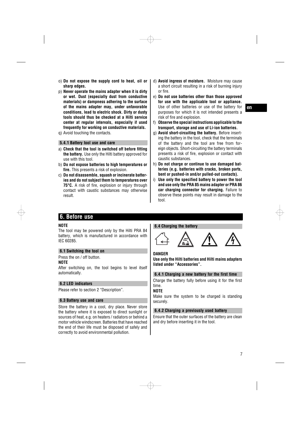- o) **Do not expose the supply cord to heat, oil or sharp edges.**
- p) **Never operate the mains adapter when it is dirty or wet. Dust (especially dust from conductive materials) or dampness adhering to the surface of the mains adapter may, under unfavorable conditions, lead to electric shock. Dirty or dusty tools should thus be checked at a Hilti service center at regular intervals, especially if used frequently for working on conductive materials.**
- q) Avoid touching the contacts.

#### **5.4.1 Battery tool use and care**

- a) **Check that the tool is switched off before fitting the battery.** Use only the Hilti battery approved for use with this tool.
- b) **Do not expose batteries to high temperatures or fire.** This presents a risk of explosion.
- c) **Do not disassemble, squash or incinerate batteries and do not subject them to temperatures over 75°C.** A risk of fire, explosion or injury through contact with caustic substances may otherwise result.
- d) **Avoid ingress of moisture.** Moisture may cause a short circuit resulting in a risk of burning injury or fire.
- e) **Do not use batteries other than those approved for use with the applicable tool or appliance.** Use of other batteries or use of the battery for purposes for which it is not intended presents a risk of fire and explosion.
- f) **Observe the special instructions applicable to the transport, storage and use of Li-ion batteries.**
- g) **Avoid short-circuiting the battery.** Before inserting the battery in the tool, check that the terminals of the battery and the tool are free from foreign objects. Short-circuiting the battery terminals presents a risk of fire, explosion or contact with caustic substances.
- h) **Do not charge or continue to use damaged batteries (e.g. batteries with cracks, broken parts, bent or pushed-in and/or pulled-out contacts).**
- i) **Use only the specified battery to power the tool and use only the PRA 85 mains adapter or PRA 86 car charging connector for charging.** Failure to observe these points may result in damage to the tool.

#### **6. Before use**

#### **NOTE**

The tool may be powered only by the Hilti PRA 84 battery, which is manufactured in accordance with IEC 60285.

#### **6.1 Switching the tool on**

Press the on / off button. **NOTE**

After switching on, the tool begins to level itself automatically.

#### **6.2 LED indicators**

Please refer to section 2 "Description".

#### **6.3 Battery use and care**

Store the battery in a cool, dry place. Never store the battery where it is exposed to direct sunlight or sources of heat, e.g. on heaters / radiators or behind a motor vehicle windscreen. Batteries that have reached the end of their life must be disposed of safely and correctly to avoid environmental pollution.

#### **6.4 Charging the battery**



#### **DANGER**

**Use only the Hilti batteries and Hilti mains adapters listed under "Accessories".**

**6.4.1 Charging a new battery for the first time**

Charge the battery fully before using it for the first time.

#### **NOTE**

Make sure the system to be charged is standing securely.

#### **6.4.2 Charging a previously used battery**

Ensure that the outer surfaces of the battery are clean and dry before inserting it in the tool.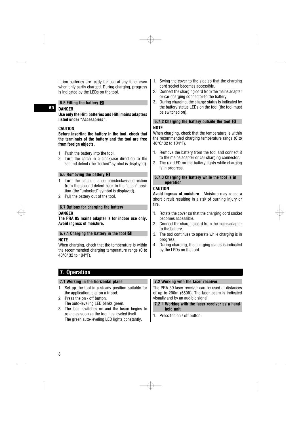Li-ion batteries are ready for use at any time, even when only partly charged. During charging, progress is indicated by the LEDs on the tool.

#### **6.5 Fitting the battery**

## **DANGER**

**en**

**Use only the Hilti batteries and Hilti mains adapters listed under "Accessories".**

#### **CAUTION**

**Before inserting the battery in the tool, check that the terminals of the battery and the tool are free from foreign objects.**

- 1. Push the battery into the tool.
- 2. Turn the catch in a clockwise direction to the second detent (the "locked" symbol is displayed).

#### **6.6 Removing the battery**

- 1. Turn the catch in a counterclockwise direction from the second detent back to the "open" position (the "unlocked" symbol is displayed).
- 2. Pull the battery out of the tool.

#### **6.7 Options for charging the battery**

#### **DANGER**

**The PRA 85 mains adapter is for indoor use only. Avoid ingress of moisture.**

#### **6.7.1 Charging the battery in the tool 4 NOTE**

When charging, check that the temperature is within the recommended charging temperature range (0 to 40°C/ 32 to 104°F).

- 1. Swing the cover to the side so that the charging cord socket becomes accessible.
- 2. Connect the charging cord from the mains adapter or car charging connector to the battery.
- 3. During charging, the charge status is indicated by the battery status LEDs on the tool (the tool must be switched on).

#### **6.7.2 Charging the battery outside the tool 5 NOTE**

When charging, check that the temperature is within the recommended charging temperature range (0 to 40°C/ 32 to 104°F).

- 1. Remove the battery from the tool and connect it to the mains adapter or car charging connector.
- 2. The red LED on the battery lights while charging is in progress.

#### **6.7.3 Charging the battery while the tool is in operation**

## **CAUTION**

**Avoid ingress of moisture.** Moisture may cause a short circuit resulting in a risk of burning injury or fire.

- 1. Rotate the cover so that the charging cord socket becomes accessible.
- 2. Connect the charging cord from the mains adapter to the battery.
- 3. The tool continues to operate while charging is in progress.
- 4. During charging, the charging status is indicated by the LEDs on the tool.

## **7. Operation**

#### **7.1 Working in the horizontal plane**

- 1. Set up the tool in a steady position suitable for the application, e.g. on a tripod.
- 2. Press the on / off button. The auto-leveling LED blinks green.
- 3. The laser switches on and the beam begins to rotate as soon as the tool has leveled itself. The green auto-leveling LED lights constantly.

#### **7.2 Working with the laser receiver**

The PRA 30 laser receiver can be used at distances of up to 200m (650ft). The laser beam is indicated visually and by an audible signal.

**7.2.1 Working with the laser receiver as a handheld unit**

1. Press the on / off button.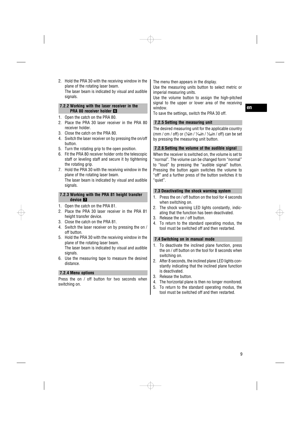2. Hold the PRA 30 with the receiving window in the plane of the rotating laser beam. The laser beam is indicated by visual and audible signals.

### **7.2.2 Working with the laser receiver in the PRA 80 receiver holder** 6

- 1. Open the catch on the PRA 80.
- 2. Place the PRA 30 laser receiver in the PRA 80 receiver holder.
- 3. Close the catch on the PRA 80.
- 4. Switch the laser receiver on by pressing the on/off button.
- 5. Turn the rotating grip to the open position.
- 6. Fit the PRA 80 receiver holder onto the telescopic staff or leveling staff and secure it by tightening the rotating grip.
- 7. Hold the PRA 30 with the receiving window in the plane of the rotating laser beam. The laser beam is indicated by visual and audible signals.

#### **7.2.3 Working with the PRA 81 height transfer** device **17**

- 1. Open the catch on the PRA 81.
- 2. Place the PRA 30 laser receiver in the PRA 81 height transfer device.
- 3. Close the catch on the PRA 81.
- 4. Switch the laser receiver on by pressing the on / off button.
- 5. Hold the PRA 30 with the receiving window in the plane of the rotating laser beam. The laser beam is indicated by visual and audible signals.
- 6. Use the measuring tape to measure the desired distance.

#### **7.2.4 Menu options**

Press the on / off button for two seconds when switching on.

The menu then appears in the display.

Use the measuring units button to select metric or imperial measuring units.

Use the volume button to assign the high-pitched signal to the upper or lower area of the receiving window.

To save the settings, switch the PRA 30 off.

#### **7.2.5 Setting the measuring unit**

The desired measuring unit for the applicable country (mm / cm / off) or ( $\frac{1}{\sin}$  /  $\frac{1}{\sin}$  /  $\frac{1}{\sin}$  / off) can be set by pressing the measuring unit button.

#### **7.2.6 Setting the volume of the audible signal**

When the receiver is switched on, the volume is set to "normal". The volume can be changed form "normal" to "loud" by pressing the "audible signal" button. Pressing the button again switches the volume to "off" and a further press of the button switches it to "quiet".

#### **7.3 Deactivating the shock warning system**

- 1. Press the on / off button on the tool for 4 seconds when switching on.
- 2. The shock warning LED lights constantly, indicating that the function has been deactivated.
- 3. Release the on / off button.
- 4. To return to the standard operating modus, the tool must be switched off and then restarted.

#### **7.4 Switching on in manual mode**

- 1. To deactivate the inclined plane function, press the on / off button on the tool for 8 seconds when switching on.
- 2. After 8 seconds, the inclined plane LED lights constantly indicating that the inclined plane function is deactivated.
- 3. Release the button.
- 4. The horizontal plane is then no longer monitored.
- 5. To return to the standard operating modus, the tool must be switched off and then restarted.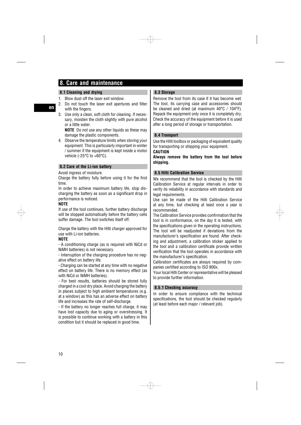## **8. Care and maintenance**

#### **8.1 Cleaning and drying**

- 1. Blow dust off the laser exit window.
- 2. Do not touch the laser exit apertures and filter with the fingers.
- 3. Use only a clean, soft cloth for cleaning. If necessary, moisten the cloth slightly with pure alcohol or a little water.

**NOTE** Do not use any other liquids as these may damage the plastic components.

4. Observe the temperature limits when storing your equipment. This is particularly important in winter / summer if the equipment is kept inside a motor vehicle (-25°C to +60°C).

#### **8.2 Care of the Li-ion battery**

#### Avoid ingress of moisture.

Charge the battery fully before using it for the first time.

In order to achieve maximum battery life, stop discharging the battery as soon as a significant drop in performance is noticed.

#### **NOTE**

If use of the tool continues, further battery discharge will be stopped automatically before the battery cells suffer damage. The tool switches itself off.

Charge the battery with the Hilti charger approved for use with Li-ion batteries.

#### **NOTE**

- A conditioning charge (as is required with NiCd or NiMH batteries) is not necessary.

- Interruption of the charging procedure has no negative effect on battery life.

- Charging can be started at any time with no negative effect on battery life. There is no memory effect (as with NiCd or NiMH batteries).

- For best results, batteries should be stored fully charged in a cool dry place. Avoid charging the battery in places subject to high ambient temperatures (e.g. at a window) as this has an adverse effect on battery life and increases the rate of self-discharge.

- If the battery no longer reaches full charge, it may have lost capacity due to aging or overstressing. It is possible to continue working with a battery in this condition but it should be replaced in good time.

## **8.3 Storage**

Remove the tool from its case if it has become wet. The tool, its carrying case and accessories should be cleaned and dried (at maximum 40°C / 104°F). Repack the equipment only once it is completely dry. Check the accuracy of the equipment before it is used after a long period of storage or transportation.

#### **8.4 Transport**

Use the Hilti toolbox or packaging of equivalent quality for transporting or shipping your equipment. **CAUTION**

**Always remove the battery from the tool before shipping.**

#### **8.5 Hilti Calibration Service**

We recommend that the tool is checked by the Hilti Calibration Service at regular intervals in order to verify its reliability in accordance with standards and legal requirements.

Use can be made of the Hilti Calibration Service at any time, but checking at least once a year is recommended.

The Calibration Service provides confirmation that the tool is in conformance, on the day it is tested, with the specifications given in the operating instructions. The tool will be readjusted if deviations from the manufacturer's specification are found. After checking and adjustment, a calibration sticker applied to the tool and a calibration certificate provide written verification that the tool operates in accordance with the manufacturer's specification.

Calibration certificates are always required by companies certified according to ISO 900x.

Your local Hilti Center or representative will be pleased to provide further information.

#### **8.5.1 Checking accuracy**

In order to ensure compliance with the technical specifications, the tool should be checked regularly (at least before each major / relevant job).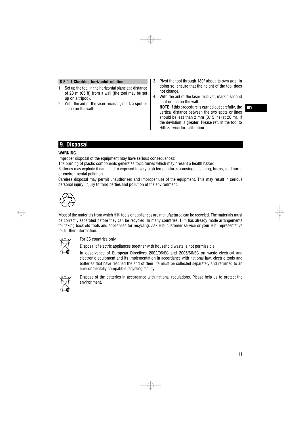#### **8.5.1.1 Checking horizontal rotation**

- 1. Set up the tool in the horizontal plane at a distance of 20 m (65 ft) from a wall (the tool may be set up on a tripod).
- 2. With the aid of the laser receiver, mark a spot or a line on the wall.
- 3. Pivot the tool through 180º about its own axis. In doing so, ensure that the height of the tool does not change.
- 4. With the aid of the laser receiver, mark a second spot or line on the wall.

**NOTE** If this procedure is carried out carefully, the vertical distance between the two spots or lines should be less than 2 mm (0.15 in) (at 20 m). If the deviation is greater: Please return the tool to Hilti Service for calibration.

**en**

## **9. Disposal**

#### **WARNING**

Improper disposal of the equipment may have serious consequences:

The burning of plastic components generates toxic fumes which may present a health hazard.

Batteries may explode if damaged or exposed to very high temperatures, causing poisoning, burns, acid burns or environmental pollution.

Careless disposal may permit unauthorized and improper use of the equipment. This may result in serious personal injury, injury to third parties and pollution of the environment.



Most of the materials from which Hilti tools or appliances are manufactured can be recycled. The materials must be correctly separated before they can be recycled. In many countries, Hilti has already made arrangements for taking back old tools and appliances for recycling. Ask Hilti customer service or your Hilti representative for further information.



#### For EC countries only

Disposal of electric appliances together with household waste is not permissible.

In observance of European Directives 2002/96/EC and 2006/66/EC on waste electrical and electronic equipment and its implementation in accordance with national law, electric tools and batteries that have reached the end of their life must be collected separately and returned to an environmentally compatible recycling facility.



Dispose of the batteries in accordance with national regulations. Please help us to protect the environment.

## 11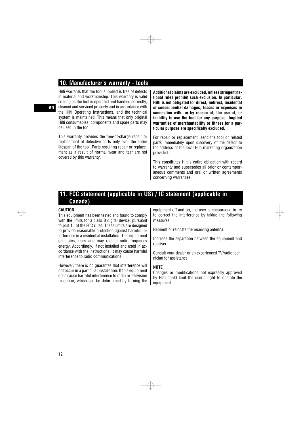## **10. Manufacturer's warranty - tools**

Hilti warrants that the tool supplied is free of defects in material and workmanship. This warranty is valid so long as the tool is operated and handled correctly, cleaned and serviced properly and in accordance with the Hilti Operating Instructions, and the technical system is maintained. This means that only original Hilti consumables, components and spare parts may be used in the tool.

This warranty provides the free-of-charge repair or replacement of defective parts only over the entire lifespan of the tool. Parts requiring repair or replacement as a result of normal wear and tear are not covered by this warranty.

**Additional claims are excluded, unless stringent national rules prohibit such exclusion. In particular, Hilti is not obligated for direct, indirect, incidental or consequential damages, losses or expenses in connection with, or by reason of, the use of, or inability to use the tool for any purpose. Implied warranties of merchantability or fitness for a particular purpose are specifically excluded.**

For repair or replacement, send the tool or related parts immediately upon discovery of the defect to the address of the local Hilti marketing organization provided.

This constitutes Hilti's entire obligation with regard to warranty and supersedes all prior or contemporaneous comments and oral or written agreements concerning warranties.

## **11. FCC statement (applicable in US) / IC statement (applicable in Canada)**

#### **CAUTION**

This equipment has been tested and found to comply with the limits for a class B digital device, pursuant to part 15 of the FCC rules. These limits are designed to provide reasonable protection against harmful interference in a residential installation. This equipment generates, uses and may radiate radio frequency energy. Accordingly, if not installed and used in accordance with the instructions, it may cause harmful interference to radio communications.

However, there is no guarantee that interference will not occur in a particular installation. If this equipment does cause harmful interference to radio or television reception, which can be determined by turning the

equipment off and on, the user is encouraged to try to correct the interference by taking the following measures:

Reorient or relocate the receiving antenna.

Increase the separation between the equipment and receiver.

Consult your dealer or an experienced TV/radio technician for assistance.

#### **NOTE**

Changes or modifications not expressly approved by Hilti could limit the user's right to operate the equipment.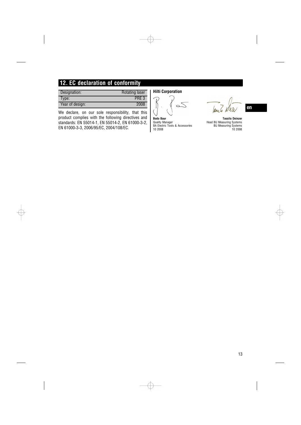## **12. EC declaration of conformity**

| Designation:    | <b>Rotating laser</b> |
|-----------------|-----------------------|
| Type:           | PRE <sub>3</sub>      |
| Year of design: | 2008                  |
|                 |                       |

We declare, on our sole responsibility, that this product complies with the following directives and standards: EN 55014‑1, EN 55014‑2, EN 61000‑3‑2, EN 61000‑3‑3, 2006/95/EC, 2004/108/EC.

**Hilti Corporation**

 $\oplus$ 

 $\overline{\bigoplus}$ 





**Bodo Baur Tassilo Deinzer** Quality Manager Head BU Measuring Systems BA Electric Tools & Accessories BU Measuring Systems 10 2008 10 2008